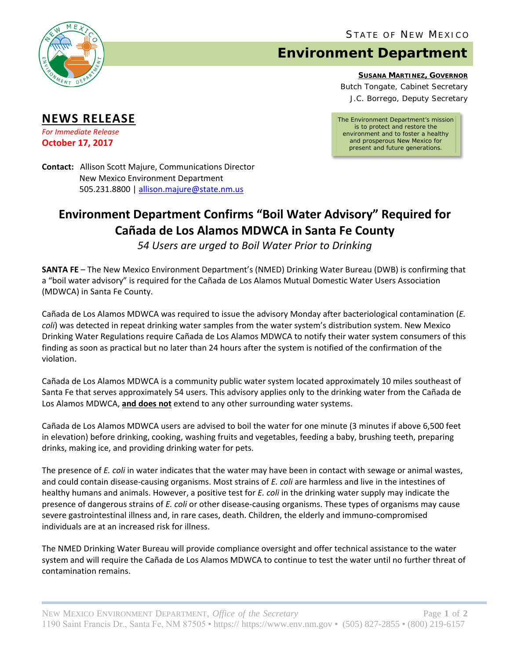

**NEWS RELEASE** *For Immediate Release* **October 17, 2017**

## **Environment Department**

**SUSANA MARTINEZ, GOVERNOR**

Butch Tongate, Cabinet Secretary J.C. Borrego, Deputy Secretary

*The Environment Department's mission is to protect and restore the environment and to foster a healthy and prosperous New Mexico for present and future generations.*

**Contact:** Allison Scott Majure, Communications Director New Mexico Environment Department 505.231.8800 [| allison.majure@state.nm.us](mailto:allison.majure@state.nm.us)

## **Environment Department Confirms "Boil Water Advisory" Required for Cañada de Los Alamos MDWCA in Santa Fe County**

*54 Users are urged to Boil Water Prior to Drinking*

**SANTA FE** – The New Mexico Environment Department's (NMED) Drinking Water Bureau (DWB) is confirming that a "boil water advisory" is required for the Cañada de Los Alamos Mutual Domestic Water Users Association (MDWCA) in Santa Fe County.

Cañada de Los Alamos MDWCA was required to issue the advisory Monday after bacteriological contamination (*E. coli*) was detected in repeat drinking water samples from the water system's distribution system. New Mexico Drinking Water Regulations require Cañada de Los Alamos MDWCA to notify their water system consumers of this finding as soon as practical but no later than 24 hours after the system is notified of the confirmation of the violation.

Cañada de Los Alamos MDWCA is a community public water system located approximately 10 miles southeast of Santa Fe that serves approximately 54 users. This advisory applies only to the drinking water from the Cañada de Los Alamos MDWCA, **and does not** extend to any other surrounding water systems.

Cañada de Los Alamos MDWCA users are advised to boil the water for one minute (3 minutes if above 6,500 feet in elevation) before drinking, cooking, washing fruits and vegetables, feeding a baby, brushing teeth, preparing drinks, making ice, and providing drinking water for pets.

The presence of *E. coli* in water indicates that the water may have been in contact with sewage or animal wastes, and could contain disease-causing organisms. Most strains of *E. coli* are harmless and live in the intestines of healthy humans and animals. However, a positive test for *E. coli* in the drinking water supply may indicate the presence of dangerous strains of *E. coli* or other disease-causing organisms. These types of organisms may cause severe gastrointestinal illness and, in rare cases, death. Children, the elderly and immuno-compromised individuals are at an increased risk for illness.

The NMED Drinking Water Bureau will provide compliance oversight and offer technical assistance to the water system and will require the Cañada de Los Alamos MDWCA to continue to test the water until no further threat of contamination remains.